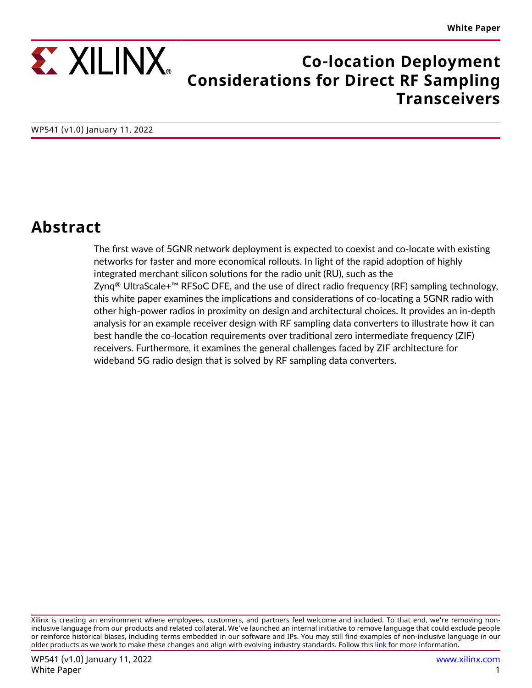

## **Co-location Deployment Considerations for Direct RF Sampling Transceivers**

## **Abstract**

The first wave of 5GNR network deployment is expected to coexist and co-locate with existing networks for faster and more economical rollouts. In light of the rapid adoption of highly integrated merchant silicon solutions for the radio unit (RU), such as the Zynq<sup>®</sup> UltraScale+<sup>™</sup> RFSoC DFE, and the use of direct radio frequency (RF) sampling technology, this white paper examines the implications and considerations of co-locating a 5GNR radio with other high-power radios in proximity on design and architectural choices. It provides an in-depth analysis for an example receiver design with RF sampling data converters to illustrate how it can best handle the co-location requirements over traditional zero intermediate frequency (ZIF) receivers. Furthermore, it examines the general challenges faced by ZIF architecture for wideband 5G radio design that is solved by RF sampling data converters.

Xilinx is creating an environment where employees, customers, and partners feel welcome and included. To that end, we're removing noninclusive language from our products and related collateral. We've launched an internal initiative to remove language that could exclude people or reinforce historical biases, including terms embedded in our software and IPs. You may still find examples of non-inclusive language in our older products as we work to make these changes and align with evolving industry standards. Follow this [link](https://www.xilinx.com/content/dam/xilinx/publications/about/Inclusive-terminology.pdf) for more information.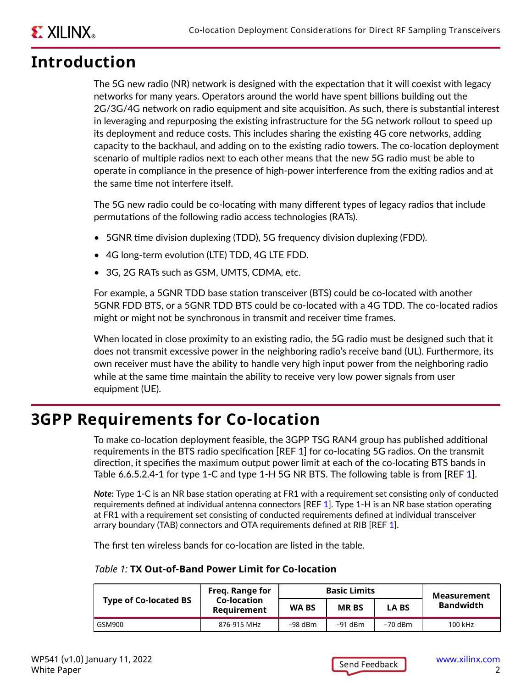# <span id="page-1-0"></span>**EXILINX**

## **Introduction**

The 5G new radio (NR) network is designed with the expectation that it will coexist with legacy networks for many years. Operators around the world have spent billions building out the 2G/3G/4G network on radio equipment and site acquisition. As such, there is substantial interest in leveraging and repurposing the existing infrastructure for the 5G network rollout to speed up its deployment and reduce costs. This includes sharing the existing 4G core networks, adding capacity to the backhaul, and adding on to the existing radio towers. The co-location deployment scenario of multiple radios next to each other means that the new 5G radio must be able to operate in compliance in the presence of high-power interference from the exiting radios and at the same time not interfere itself.

The 5G new radio could be co-locating with many different types of legacy radios that include permutations of the following radio access technologies (RATs).

- 5GNR time division duplexing (TDD), 5G frequency division duplexing (FDD).
- 4G long-term evolution (LTE) TDD, 4G LTE FDD.
- 3G, 2G RATs such as GSM, UMTS, CDMA, etc.

For example, a 5GNR TDD base station transceiver (BTS) could be co-located with another 5GNR FDD BTS, or a 5GNR TDD BTS could be co-located with a 4G TDD. The co-located radios might or might not be synchronous in transmit and receiver time frames.

When located in close proximity to an existing radio, the 5G radio must be designed such that it does not transmit excessive power in the neighboring radio's receive band (UL). Furthermore, its own receiver must have the ability to handle very high input power from the neighboring radio while at the same time maintain the ability to receive very low power signals from user equipment (UE).

# **3GPP Requirements for Co-location**

To make co-location deployment feasible, the 3GPP TSG RAN4 group has published additional requirements in the BTS radio specification [REF [1\]](#page-22-0) for co-locating 5G radios. On the transmit direction, it specifies the maximum output power limit at each of the co-locating BTS bands in Table 6.6.5.2.4-1 for type [1](#page-22-0)-C and type 1-H 5G NR BTS. The following table is from [REF 1].

*Note***:** Type 1-C is an NR base station operating at FR1 with a requirement set consisting only of conducted requirements defined at individual antenna connectors [REF [1](#page-22-0)]. Type 1-H is an NR base station operating at FR1 with a requirement set consisting of conducted requirements defined at individual transceiver arrary boundary (TAB) connectors and OTA requirements defined at RIB [REF [1\]](#page-22-0).

The first ten wireless bands for co-location are listed in the table.

|                              | Freg. Range for                   | <b>Basic Limits</b> |             |             | Measurement |
|------------------------------|-----------------------------------|---------------------|-------------|-------------|-------------|
| <b>Type of Co-located BS</b> | Co-location<br><b>Requirement</b> | <b>WABS</b>         | <b>MRBS</b> | <b>LABS</b> | Bandwidth   |

GSM900 876-915 MHz –98 dBm –91 dBm –70 dBm 100 kHz

#### *Table 1:* **TX Out-of-Band Power Limit for Co-location**

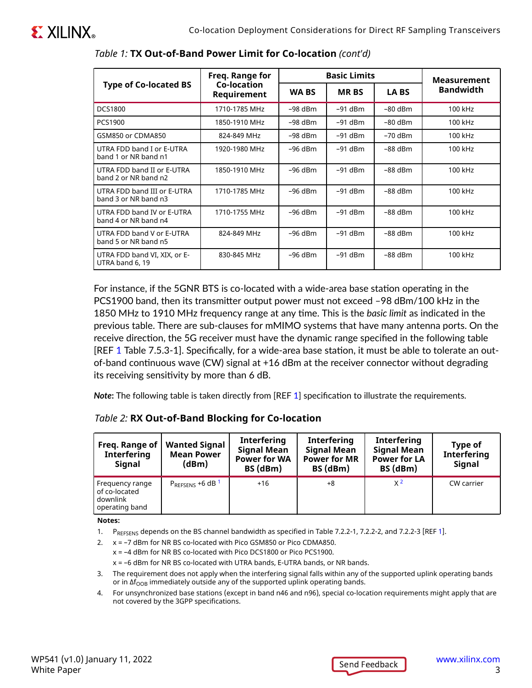|                                                     | Freq. Range for            | <b>Basic Limits</b> |             |             | <b>Measurement</b> |
|-----------------------------------------------------|----------------------------|---------------------|-------------|-------------|--------------------|
| <b>Type of Co-located BS</b>                        | Co-location<br>Requirement |                     | <b>MRBS</b> | <b>LABS</b> | <b>Bandwidth</b>   |
| <b>DCS1800</b>                                      | 1710-1785 MHz              | $-98$ dBm           | $-91$ dBm   | $-80$ dBm   | 100 kHz            |
| PCS1900                                             | 1850-1910 MHz              | $-98$ dBm           | $-91$ dBm   | $-80$ dBm   | 100 kHz            |
| GSM850 or CDMA850                                   | 824-849 MHz                | $-98$ dBm           | $-91$ dBm   | $-70$ dBm   | 100 kHz            |
| UTRA FDD band I or E-UTRA<br>band 1 or NR band n1   | 1920-1980 MHz              | $-96$ dBm           | $-91$ dBm   | $-88$ dBm   | 100 kHz            |
| UTRA FDD band II or E-UTRA<br>band 2 or NR band n2  | 1850-1910 MHz              | $-96$ dBm           | $-91$ dBm   | $-88$ dBm   | 100 kHz            |
| UTRA FDD band III or E-UTRA<br>band 3 or NR band n3 | 1710-1785 MHz              | $-96$ dBm           | $-91$ dBm   | $-88$ dBm   | 100 kHz            |
| UTRA FDD band IV or E-UTRA<br>band 4 or NR band n4  | 1710-1755 MHz              | $-96$ dBm           | $-91$ dBm   | $-88$ dBm   | 100 kHz            |
| UTRA FDD band V or E-UTRA<br>band 5 or NR band n5   | 824-849 MHz                | $-96$ dBm           | $-91$ dBm   | $-88$ dBm   | 100 kHz            |
| UTRA FDD band VI, XIX, or E-<br>UTRA band 6, 19     | 830-845 MHz                | $-96$ dBm           | $-91$ dBm   | $-88$ dBm   | 100 kHz            |

#### *Table 1:* **TX Out-of-Band Power Limit for Co-location** *(cont'd)*

For instance, if the 5GNR BTS is co-located with a wide-area base station operating in the PCS1900 band, then its transmitter output power must not exceed –98 dBm/100 kHz in the 1850 MHz to 1910 MHz frequency range at any time. This is the *basic limit* as indicated in the previous table. There are sub-clauses for mMIMO systems that have many antenna ports. On the receive direction, the 5G receiver must have the dynamic range specified in the following table [REF [1](#page-22-0) Table 7.5.3-1]. Specifically, for a wide-area base station, it must be able to tolerate an outof-band continuous wave (CW) signal at +16 dBm at the receiver connector without degrading its receiving sensitivity by more than 6 dB.

*Note***:** The following table is taken directly from [REF [1\]](#page-22-0) specification to illustrate the requirements.

| Freq. Range of<br><b>Interfering</b><br><b>Signal</b>          | <b>Wanted Signal</b><br><b>Mean Power</b><br>(dBm) | <b>Interfering</b><br><b>Signal Mean</b><br><b>Power for WA</b><br>BS (dBm) | <b>Interfering</b><br><b>Signal Mean</b><br><b>Power for MR</b><br>BS (dBm) | <b>Interfering</b><br><b>Signal Mean</b><br><b>Power for LA</b><br>BS (dBm) | Type of<br><b>Interfering</b><br><b>Signal</b> |
|----------------------------------------------------------------|----------------------------------------------------|-----------------------------------------------------------------------------|-----------------------------------------------------------------------------|-----------------------------------------------------------------------------|------------------------------------------------|
| Frequency range<br>of co-located<br>downlink<br>operating band | $P_{REFSENS}$ +6 dB $1$                            | $+16$                                                                       | $+8$                                                                        | X <sup>2</sup>                                                              | CW carrier                                     |

#### *Table 2:* **RX Out-of-Band Blocking for Co-location**

#### **Notes:**

[1](#page-22-0). P<sub>REFSENS</sub> depends on the BS channel bandwidth as specified in Table 7.2.2-1, 7.2.2-2, and 7.2.2-3 [REF 1].

2. x = –7 dBm for NR BS co-located with Pico GSM850 or Pico CDMA850. x = –4 dBm for NR BS co-located with Pico DCS1800 or Pico PCS1900.

x = –6 dBm for NR BS co-located with UTRA bands, E-UTRA bands, or NR bands.

- 3. The requirement does not apply when the interfering signal falls within any of the supported uplink operating bands or in  $\Delta f_{\rm OOB}$  immediately outside any of the supported uplink operating bands.
- 4. For unsynchronized base stations (except in band n46 and n96), special co-location requirements might apply that are not covered by the 3GPP specifications.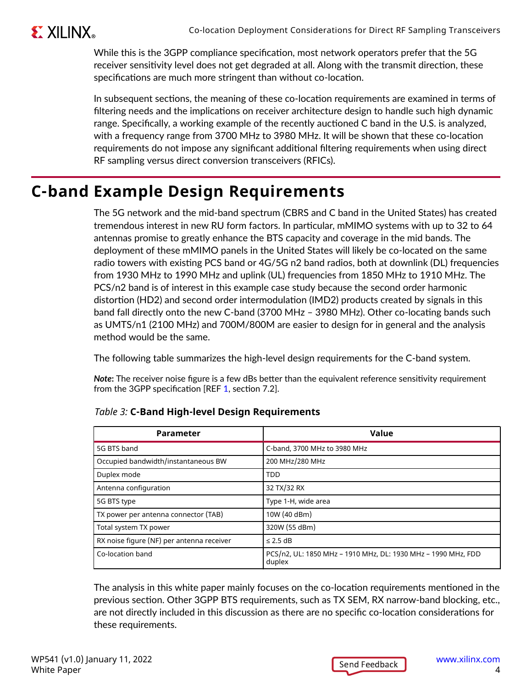

While this is the 3GPP compliance specification, most network operators prefer that the 5G receiver sensitivity level does not get degraded at all. Along with the transmit direction, these specifications are much more stringent than without co-location.

In subsequent sections, the meaning of these co-location requirements are examined in terms of filtering needs and the implications on receiver architecture design to handle such high dynamic range. Specifically, a working example of the recently auctioned C band in the U.S. is analyzed, with a frequency range from 3700 MHz to 3980 MHz. It will be shown that these co-location requirements do not impose any significant additional filtering requirements when using direct RF sampling versus direct conversion transceivers (RFICs).

# **C-band Example Design Requirements**

The 5G network and the mid-band spectrum (CBRS and C band in the United States) has created tremendous interest in new RU form factors. In particular, mMIMO systems with up to 32 to 64 antennas promise to greatly enhance the BTS capacity and coverage in the mid bands. The deployment of these mMIMO panels in the United States will likely be co-located on the same radio towers with existing PCS band or 4G/5G n2 band radios, both at downlink (DL) frequencies from 1930 MHz to 1990 MHz and uplink (UL) frequencies from 1850 MHz to 1910 MHz. The PCS/n2 band is of interest in this example case study because the second order harmonic distortion (HD2) and second order intermodulation (IMD2) products created by signals in this band fall directly onto the new C-band (3700 MHz – 3980 MHz). Other co-locating bands such as UMTS/n1 (2100 MHz) and 700M/800M are easier to design for in general and the analysis method would be the same.

The following table summarizes the high-level design requirements for the C-band system.

*Note***:** The receiver noise figure is a few dBs better than the equivalent reference sensitivity requirement from the 3GPP specification [REF [1](#page-22-0), section 7.2].

| Value<br><b>Parameter</b>                              |                                                                         |
|--------------------------------------------------------|-------------------------------------------------------------------------|
| 5G BTS band                                            | C-band, 3700 MHz to 3980 MHz                                            |
| 200 MHz/280 MHz<br>Occupied bandwidth/instantaneous BW |                                                                         |
| Duplex mode                                            | <b>TDD</b>                                                              |
| Antenna configuration                                  | 32 TX/32 RX                                                             |
| 5G BTS type                                            | Type 1-H, wide area                                                     |
| TX power per antenna connector (TAB)                   | 10W (40 dBm)                                                            |
| Total system TX power                                  | 320W (55 dBm)                                                           |
| RX noise figure (NF) per antenna receiver              | $\leq$ 2.5 dB                                                           |
| Co-location band                                       | PCS/n2, UL: 1850 MHz - 1910 MHz, DL: 1930 MHz - 1990 MHz, FDD<br>duplex |

The analysis in this white paper mainly focuses on the co-location requirements mentioned in the previous section. Other 3GPP BTS requirements, such as TX SEM, RX narrow-band blocking, etc., are not directly included in this discussion as there are no specific co-location considerations for these requirements.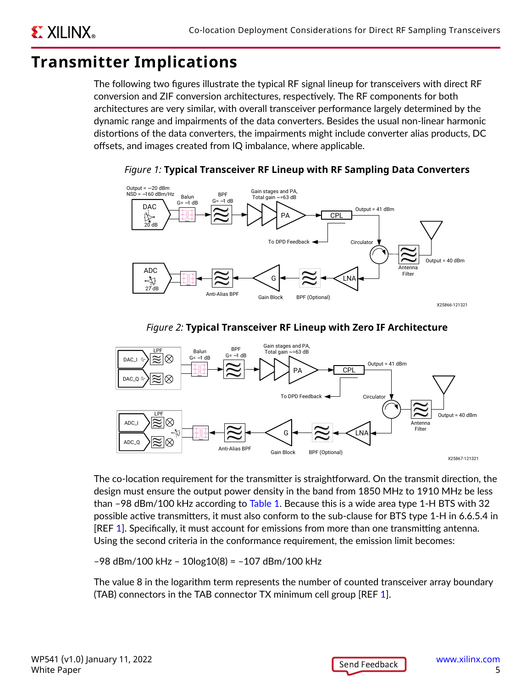## **Transmitter Implications**

<span id="page-4-0"></span>**EXILINX** 

The following two figures illustrate the typical RF signal lineup for transceivers with direct RF conversion and ZIF conversion architectures, respectively. The RF components for both architectures are very similar, with overall transceiver performance largely determined by the dynamic range and impairments of the data converters. Besides the usual non-linear harmonic distortions of the data converters, the impairments might include converter alias products, DC offsets, and images created from IQ imbalance, where applicable.



*Figure 1:* **Typical Transceiver RF Lineup with RF Sampling Data Converters**





The co-location requirement for the transmitter is straightforward. On the transmit direction, the design must ensure the output power density in the band from 1850 MHz to 1910 MHz be less than –98 dBm/100 kHz according to [Table 1.](#page-1-0) Because this is a wide area type 1-H BTS with 32 possible active transmitters, it must also conform to the sub-clause for BTS type 1-H in 6.6.5.4 in [REF [1](#page-22-0)]. Specifically, it must account for emissions from more than one transmitting antenna. Using the second criteria in the conformance requirement, the emission limit becomes:

–98 dBm/100 kHz – 10log10(8) = –107 dBm/100 kHz

The value 8 in the logarithm term represents the number of counted transceiver array boundary (TAB) connectors in the TAB connector TX minimum cell group [REF [1](#page-22-0)].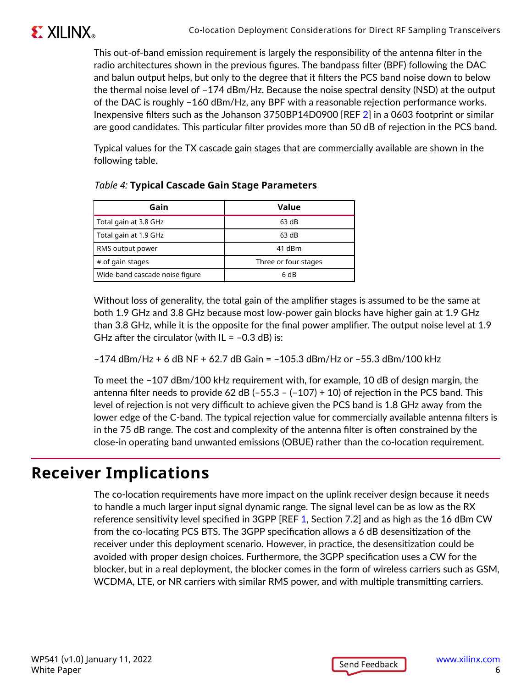

This out-of-band emission requirement is largely the responsibility of the antenna filter in the radio architectures shown in the previous figures. The bandpass filter (BPF) following the DAC and balun output helps, but only to the degree that it filters the PCS band noise down to below the thermal noise level of –174 dBm/Hz. Because the noise spectral density (NSD) at the output of the DAC is roughly –160 dBm/Hz, any BPF with a reasonable rejection performance works. Inexpensive filters such as the Johanson 3750BP14D0900 [REF [2](#page-22-0)] in a 0603 footprint or similar are good candidates. This particular filter provides more than 50 dB of rejection in the PCS band.

Typical values for the TX cascade gain stages that are commercially available are shown in the following table.

| Gain                           | Value                |  |  |
|--------------------------------|----------------------|--|--|
| Total gain at 3.8 GHz          | 63 dB                |  |  |
| Total gain at 1.9 GHz          | 63 dB                |  |  |
| RMS output power               | 41 dBm               |  |  |
| # of gain stages               | Three or four stages |  |  |
| Wide-band cascade noise figure | 6 dB                 |  |  |

Without loss of generality, the total gain of the amplifier stages is assumed to be the same at both 1.9 GHz and 3.8 GHz because most low-power gain blocks have higher gain at 1.9 GHz than 3.8 GHz, while it is the opposite for the final power amplifier. The output noise level at 1.9 GHz after the circulator (with  $IL = -0.3$  dB) is:

 $-174$  dBm/Hz + 6 dB NF + 62.7 dB Gain =  $-105.3$  dBm/Hz or  $-55.3$  dBm/100 kHz

To meet the –107 dBm/100 kHz requirement with, for example, 10 dB of design margin, the antenna filter needs to provide 62 dB ( $-55.3$  – ( $-107$ ) + 10) of rejection in the PCS band. This level of rejection is not very difficult to achieve given the PCS band is 1.8 GHz away from the lower edge of the C-band. The typical rejection value for commercially available antenna filters is in the 75 dB range. The cost and complexity of the antenna filter is often constrained by the close-in operating band unwanted emissions (OBUE) rather than the co-location requirement.

## **Receiver Implications**

The co-location requirements have more impact on the uplink receiver design because it needs to handle a much larger input signal dynamic range. The signal level can be as low as the RX reference sensitivity level specified in 3GPP [REF [1,](#page-22-0) Section 7.2] and as high as the 16 dBm CW from the co-locating PCS BTS. The 3GPP specification allows a 6 dB desensitization of the receiver under this deployment scenario. However, in practice, the desensitization could be avoided with proper design choices. Furthermore, the 3GPP specification uses a CW for the blocker, but in a real deployment, the blocker comes in the form of wireless carriers such as GSM, WCDMA, LTE, or NR carriers with similar RMS power, and with multiple transmitting carriers.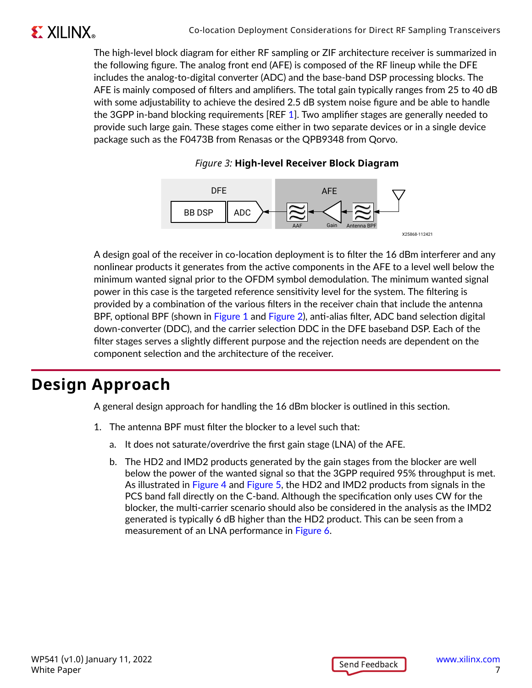The high-level block diagram for either RF sampling or ZIF architecture receiver is summarized in the following figure. The analog front end (AFE) is composed of the RF lineup while the DFE includes the analog-to-digital converter (ADC) and the base-band DSP processing blocks. The AFE is mainly composed of filters and amplifiers. The total gain typically ranges from 25 to 40 dB with some adjustability to achieve the desired 2.5 dB system noise figure and be able to handle the 3GPP in-band blocking requirements [REF [1](#page-22-0)]. Two amplifier stages are generally needed to provide such large gain. These stages come either in two separate devices or in a single device package such as the F0473B from Renasas or the QPB9348 from Qorvo.





A design goal of the receiver in co-location deployment is to filter the 16 dBm interferer and any nonlinear products it generates from the active components in the AFE to a level well below the minimum wanted signal prior to the OFDM symbol demodulation. The minimum wanted signal power in this case is the targeted reference sensitivity level for the system. The filtering is provided by a combination of the various filters in the receiver chain that include the antenna BPF, optional BPF (shown in [Figure 1](#page-4-0) and [Figure 2\)](#page-4-0), anti-alias filter, ADC band selection digital down-converter (DDC), and the carrier selection DDC in the DFE baseband DSP. Each of the filter stages serves a slightly different purpose and the rejection needs are dependent on the component selection and the architecture of the receiver.

# **Design Approach**

A general design approach for handling the 16 dBm blocker is outlined in this section.

- 1. The antenna BPF must filter the blocker to a level such that:
	- a. It does not saturate/overdrive the first gain stage (LNA) of the AFE.
	- b. The HD2 and IMD2 products generated by the gain stages from the blocker are well below the power of the wanted signal so that the 3GPP required 95% throughput is met. As illustrated in [Figure 4](#page-7-0) and [Figure 5,](#page-7-0) the HD2 and IMD2 products from signals in the PCS band fall directly on the C-band. Although the specification only uses CW for the blocker, the multi-carrier scenario should also be considered in the analysis as the IMD2 generated is typically 6 dB higher than the HD2 product. This can be seen from a measurement of an LNA performance in [Figure 6](#page-8-0).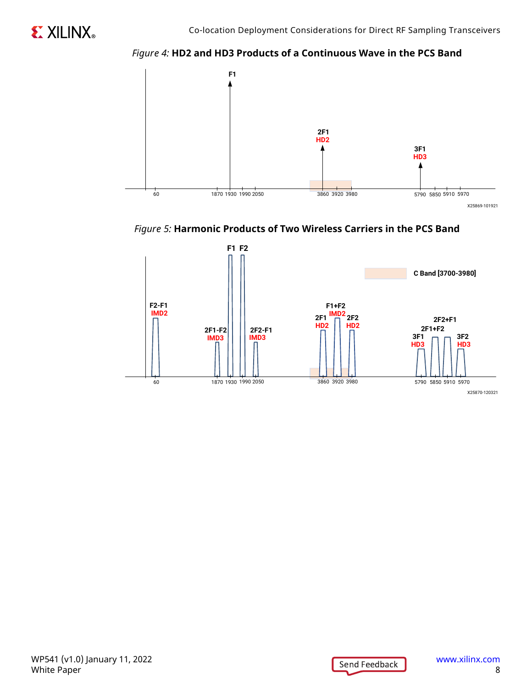*Figure 4:* **HD2 and HD3 Products of a Continuous Wave in the PCS Band**

<span id="page-7-0"></span>



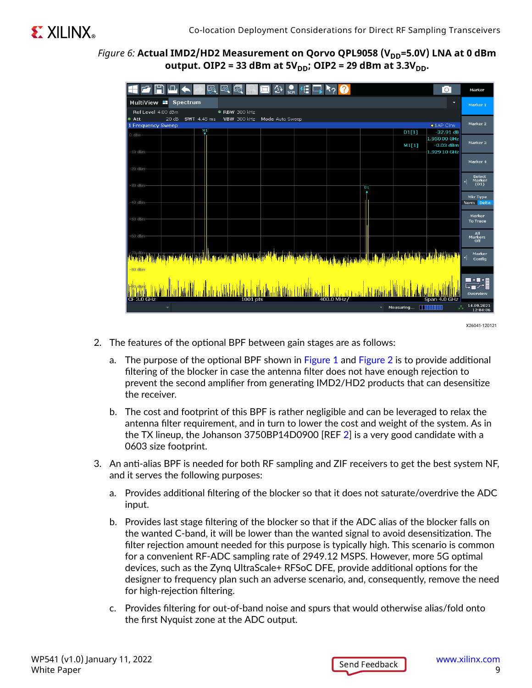#### <span id="page-8-0"></span>*Figure 6:* Actual IMD2/HD2 Measurement on Qorvo QPL9058 (V<sub>DD</sub>=5.0V) LNA at 0 dBm **output. OIP2 = 33 dBm at 5VDD; OIP2 = 29 dBm at 3.3VDD.**

|                                              | <b>LA</b><br>LG.<br>LĠ                                     | SCPI            |                     | $\circ$                                    | Marker                        |
|----------------------------------------------|------------------------------------------------------------|-----------------|---------------------|--------------------------------------------|-------------------------------|
| MultiView <b>=</b>                           | Spectrum                                                   |                 |                     | ×                                          | Marker <sub>1</sub>           |
| Ref Level 4.00 dBm<br>$\bullet$ Att<br>20 dB | $\bullet$ RBW 300 kHz<br><b>SWT</b> 4.45 ms<br>VBW 300 kHz | Mode Auto Sweep |                     |                                            | Marker 2                      |
| 1 Frequency Sweep                            | N1                                                         |                 |                     | $\bullet$ 1 AP Clrw<br>D1[1]<br>$-32.91dB$ |                               |
| 0 dBm-                                       |                                                            |                 |                     | 1.95000 GHz                                |                               |
| $-10$ dBm-                                   |                                                            |                 |                     | M1[1]<br>$-0.03$ dBm<br>1.929 10 GHz       | Marker 3                      |
|                                              |                                                            |                 |                     |                                            | Marker 4                      |
| $-20$ dBm $-$                                |                                                            |                 |                     |                                            |                               |
| 30 dBm-                                      |                                                            |                 | D1                  |                                            | Select<br>Marker<br>(D1)<br>⊣ |
|                                              |                                                            |                 |                     |                                            | Mkr Type                      |
| 40 dBm-                                      |                                                            |                 |                     |                                            | Norm Delta                    |
|                                              |                                                            |                 |                     |                                            | Marker                        |
| -50 dBm-                                     |                                                            |                 |                     |                                            | <b>To Trace</b>               |
| 60 dBm-                                      |                                                            |                 |                     |                                            |                               |
|                                              |                                                            |                 |                     |                                            | All<br>Markers<br>Off         |
|                                              |                                                            |                 |                     |                                            |                               |
|                                              | <mark>ha a bha a</mark> n an <mark>Alba</mark> n           |                 |                     |                                            | Marker<br>⊣<br>Confiq         |
| $-80$ dBm                                    |                                                            |                 |                     |                                            |                               |
|                                              |                                                            |                 |                     |                                            |                               |
|                                              |                                                            |                 |                     |                                            | ▙▛▞▊                          |
| CF 3.0 GHz                                   |                                                            | $1001$ pts      | 400.0 MHz           | Span 4.0 GHz                               | Overview                      |
| $\overline{\mathbf{v}}$                      |                                                            |                 | $\overline{\nabla}$ | Measuring <b>NOTIFIED</b><br>A             | 14.09.2021<br>12:04:06        |
|                                              |                                                            |                 |                     |                                            |                               |

X26041-120121

- 2. The features of the optional BPF between gain stages are as follows:
	- a. The purpose of the optional BPF shown in [Figure 1](#page-4-0) and [Figure 2](#page-4-0) is to provide additional filtering of the blocker in case the antenna filter does not have enough rejection to prevent the second amplifier from generating IMD2/HD2 products that can desensitize the receiver.
	- b. The cost and footprint of this BPF is rather negligible and can be leveraged to relax the antenna filter requirement, and in turn to lower the cost and weight of the system. As in the TX lineup, the Johanson 3750BP14D0900 [REF [2\]](#page-22-0) is a very good candidate with a 0603 size footprint.
- 3. An anti-alias BPF is needed for both RF sampling and ZIF receivers to get the best system NF, and it serves the following purposes:
	- a. Provides additional filtering of the blocker so that it does not saturate/overdrive the ADC input.
	- b. Provides last stage filtering of the blocker so that if the ADC alias of the blocker falls on the wanted C-band, it will be lower than the wanted signal to avoid desensitization. The filter rejection amount needed for this purpose is typically high. This scenario is common for a convenient RF-ADC sampling rate of 2949.12 MSPS. However, more 5G optimal devices, such as the Zynq UltraScale+ RFSoC DFE, provide additional options for the designer to frequency plan such an adverse scenario, and, consequently, remove the need for high-rejection filtering.
	- c. Provides filtering for out-of-band noise and spurs that would otherwise alias/fold onto the first Nyquist zone at the ADC output.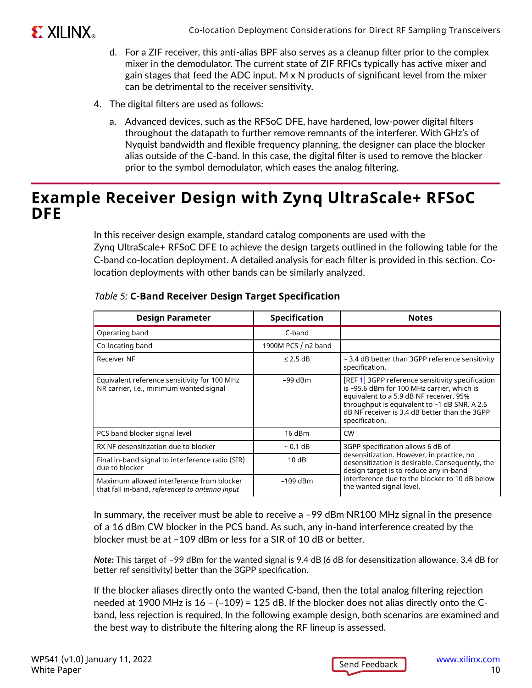

- d. For a ZIF receiver, this anti-alias BPF also serves as a cleanup filter prior to the complex mixer in the demodulator. The current state of ZIF RFICs typically has active mixer and gain stages that feed the ADC input. M  $\times$  N products of significant level from the mixer can be detrimental to the receiver sensitivity.
- 4. The digital filters are used as follows:
	- a. Advanced devices, such as the RFSoC DFE, have hardened, low-power digital filters throughout the datapath to further remove remnants of the interferer. With GHz's of Nyquist bandwidth and flexible frequency planning, the designer can place the blocker alias outside of the C-band. In this case, the digital filter is used to remove the blocker prior to the symbol demodulator, which eases the analog filtering.

### **Example Receiver Design with Zynq UltraScale+ RFSoC DFE**

In this receiver design example, standard catalog components are used with the Zynq UltraScale+ RFSoC DFE to achieve the design targets outlined in the following table for the C-band co-location deployment. A detailed analysis for each filter is provided in this section. Colocation deployments with other bands can be similarly analyzed.

| <b>Design Parameter</b>                                                                                   | <b>Specification</b> | <b>Notes</b>                                                                                                                                                                                                                                                 |  |
|-----------------------------------------------------------------------------------------------------------|----------------------|--------------------------------------------------------------------------------------------------------------------------------------------------------------------------------------------------------------------------------------------------------------|--|
| Operating band                                                                                            | C-band               |                                                                                                                                                                                                                                                              |  |
| Co-locating band                                                                                          | 1900M PCS / n2 band  |                                                                                                                                                                                                                                                              |  |
| Receiver NF                                                                                               | $\leq$ 2.5 dB        | $\sim$ 3.4 dB better than 3GPP reference sensitivity<br>specification.                                                                                                                                                                                       |  |
| Equivalent reference sensitivity for 100 MHz<br>NR carrier, i.e., minimum wanted signal                   | $-99$ dBm            | [REF 1] 3GPP reference sensitivity specification<br>is -95.6 dBm for 100 MHz carrier, which is<br>equivalent to a 5.9 dB NF receiver. 95%<br>throughput is equivalent to -1 dB SNR. A 2.5<br>dB NF receiver is 3.4 dB better than the 3GPP<br>specification. |  |
| PCS band blocker signal level                                                                             | 16 dBm               | <b>CW</b>                                                                                                                                                                                                                                                    |  |
| RX NF desensitization due to blocker                                                                      | $~0.1$ dB            | 3GPP specification allows 6 dB of                                                                                                                                                                                                                            |  |
| Final in-band signal to interference ratio (SIR)<br>due to blocker                                        | 10dB                 | desensitization. However, in practice, no<br>desensitization is desirable. Consequently, the<br>design target is to reduce any in-band                                                                                                                       |  |
| Maximum allowed interference from blocker<br>$-109$ dBm<br>that fall in-band, referenced to antenna input |                      | interference due to the blocker to 10 dB below<br>the wanted signal level.                                                                                                                                                                                   |  |

#### *Table 5:* **C-Band Receiver Design Target Specification**

In summary, the receiver must be able to receive a –99 dBm NR100 MHz signal in the presence of a 16 dBm CW blocker in the PCS band. As such, any in-band interference created by the blocker must be at –109 dBm or less for a SIR of 10 dB or better.

*Note***:** This target of –99 dBm for the wanted signal is 9.4 dB (6 dB for desensitization allowance, 3.4 dB for better ref sensitivity) better than the 3GPP specification.

If the blocker aliases directly onto the wanted C-band, then the total analog filtering rejection needed at 1900 MHz is 16 – (–109) = 125 dB. If the blocker does not alias directly onto the Cband, less rejection is required. In the following example design, both scenarios are examined and the best way to distribute the filtering along the RF lineup is assessed.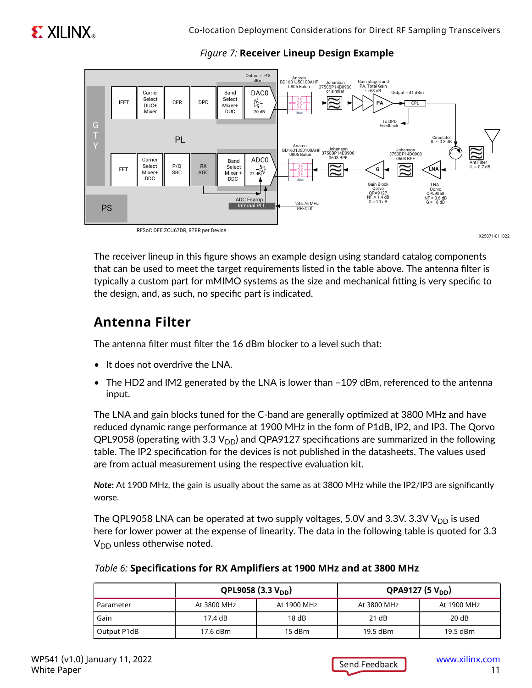

#### *Figure 7:* **Receiver Lineup Design Example**

X25871-011022

The receiver lineup in this figure shows an example design using standard catalog components that can be used to meet the target requirements listed in the table above. The antenna filter is typically a custom part for mMIMO systems as the size and mechanical fitting is very specific to the design, and, as such, no specific part is indicated.

### **Antenna Filter**

The antenna filter must filter the 16 dBm blocker to a level such that:

- It does not overdrive the LNA.
- The HD2 and IM2 generated by the LNA is lower than -109 dBm, referenced to the antenna input.

The LNA and gain blocks tuned for the C-band are generally optimized at 3800 MHz and have reduced dynamic range performance at 1900 MHz in the form of P1dB, IP2, and IP3. The Qorvo QPL9058 (operating with 3.3  $V_{DD}$ ) and QPA9127 specifications are summarized in the following table. The IP2 specification for the devices is not published in the datasheets. The values used are from actual measurement using the respective evaluation kit.

*Note***:** At 1900 MHz, the gain is usually about the same as at 3800 MHz while the IP2/IP3 are significantly worse.

The QPL9058 LNA can be operated at two supply voltages, 5.0V and 3.3V. 3.3V  $V_{DD}$  is used here for lower power at the expense of linearity. The data in the following table is quoted for 3.3  $V_{DD}$  unless otherwise noted.

|             | QPL9058 (3.3 $V_{DD}$ ) |             | QPA9127 (5 $V_{DD}$ ) |             |
|-------------|-------------------------|-------------|-----------------------|-------------|
| Parameter   | At 3800 MHz             | At 1900 MHz | At 3800 MHz           | At 1900 MHz |
| Gain        | 17.4 dB                 | 18dB        | 21 dB                 | 20 dB       |
| Output P1dB | 17.6 dBm                | $15$ dBm    | 19.5 dBm              | 19.5 dBm    |

#### *Table 6:* **Specifications for RX Amplifiers at 1900 MHz and at 3800 MHz**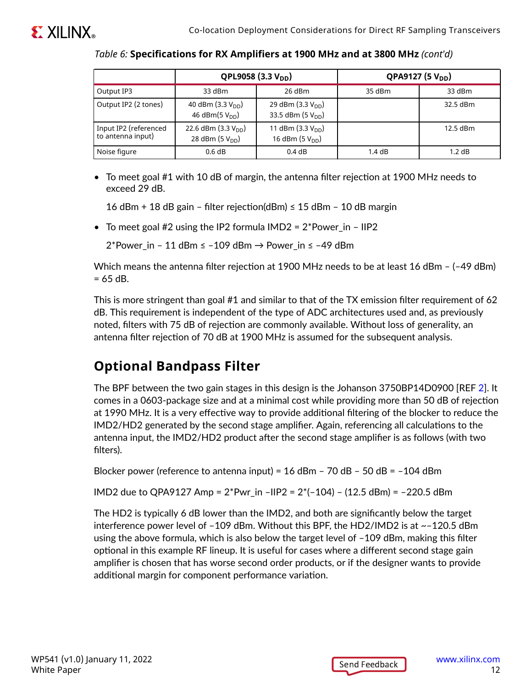|                                            | QPL9058 (3.3 V <sub>DD</sub> )                 |                                                        | QPA9127 (5 V <sub>DD</sub> ) |            |
|--------------------------------------------|------------------------------------------------|--------------------------------------------------------|------------------------------|------------|
| Output IP3                                 | 33 dBm                                         | $26$ dBm                                               | 35 dBm                       | 33 dBm     |
| Output IP2 (2 tones)                       | 40 dBm $(3.3 VDD)$<br>46 dBm(5 $V_{DD}$ )      | 29 dBm $(3.3 V_{DD})$<br>33.5 dBm (5 V <sub>DD</sub> ) |                              | 32.5 dBm   |
| Input IP2 (referenced<br>to antenna input) | 22.6 dBm $(3.3 V_{DD})$<br>28 dBm $(5 V_{DD})$ | 11 dBm $(3.3 V_{DD})$<br>16 dBm $(5 VDD)$              |                              | $12.5$ dBm |
| Noise figure                               | 0.6 dB                                         | 0.4dB                                                  | 1.4dB                        | $1.2$ dB   |

*Table 6:* **Specifications for RX Amplifiers at 1900 MHz and at 3800 MHz** *(cont'd)*

• To meet goal #1 with 10 dB of margin, the antenna filter rejection at 1900 MHz needs to exceed 29 dB.

16 dBm + 18 dB gain – filter rejection(dBm) ≤ 15 dBm – 10 dB margin

• To meet goal #2 using the IP2 formula  $IMD2 = 2*Power_in - IIP2$ 

2\*Power in – 11 dBm ≤ –109 dBm  $\rightarrow$  Power in ≤ –49 dBm

Which means the antenna filter rejection at 1900 MHz needs to be at least 16 dBm – (–49 dBm)  $= 65$  dB.

This is more stringent than goal #1 and similar to that of the TX emission filter requirement of 62 dB. This requirement is independent of the type of ADC architectures used and, as previously noted, filters with 75 dB of rejection are commonly available. Without loss of generality, an antenna filter rejection of 70 dB at 1900 MHz is assumed for the subsequent analysis.

### **Optional Bandpass Filter**

The BPF between the two gain stages in this design is the Johanson 3750BP14D0900 [REF [2](#page-22-0)]. It comes in a 0603-package size and at a minimal cost while providing more than 50 dB of rejection at 1990 MHz. It is a very effective way to provide additional filtering of the blocker to reduce the IMD2/HD2 generated by the second stage amplifier. Again, referencing all calculations to the antenna input, the IMD2/HD2 product after the second stage amplifier is as follows (with two filters).

Blocker power (reference to antenna input) =  $16$  dBm -  $70$  dB -  $50$  dB =  $-104$  dBm

IMD2 due to QPA9127 Amp = 2\*Pwr\_in –IIP2 = 2\*(–104) – (12.5 dBm) = –220.5 dBm

The HD2 is typically 6 dB lower than the IMD2, and both are significantly below the target interference power level of  $-109$  dBm. Without this BPF, the HD2/IMD2 is at  $\sim$ -120.5 dBm using the above formula, which is also below the target level of –109 dBm, making this filter optional in this example RF lineup. It is useful for cases where a different second stage gain amplifier is chosen that has worse second order products, or if the designer wants to provide additional margin for component performance variation.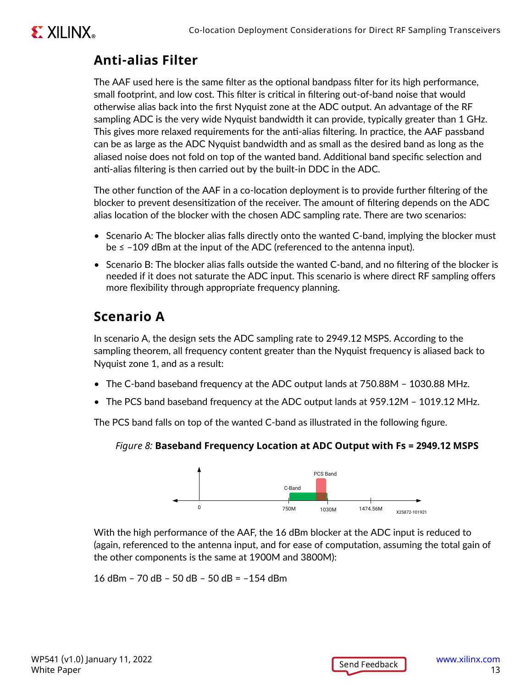# **EXALINX**

### **Anti-alias Filter**

The AAF used here is the same filter as the optional bandpass filter for its high performance, small footprint, and low cost. This filter is critical in filtering out-of-band noise that would otherwise alias back into the first Nyquist zone at the ADC output. An advantage of the RF sampling ADC is the very wide Nyquist bandwidth it can provide, typically greater than 1 GHz. This gives more relaxed requirements for the anti-alias filtering. In practice, the AAF passband can be as large as the ADC Nyquist bandwidth and as small as the desired band as long as the aliased noise does not fold on top of the wanted band. Additional band specific selection and anti-alias filtering is then carried out by the built-in DDC in the ADC.

The other function of the AAF in a co-location deployment is to provide further filtering of the blocker to prevent desensitization of the receiver. The amount of filtering depends on the ADC alias location of the blocker with the chosen ADC sampling rate. There are two scenarios:

- Scenario A: The blocker alias falls directly onto the wanted C-band, implying the blocker must be ≤ –109 dBm at the input of the ADC (referenced to the antenna input).
- Scenario B: The blocker alias falls outside the wanted C-band, and no filtering of the blocker is needed if it does not saturate the ADC input. This scenario is where direct RF sampling offers more flexibility through appropriate frequency planning.

## **Scenario A**

In scenario A, the design sets the ADC sampling rate to 2949.12 MSPS. According to the sampling theorem, all frequency content greater than the Nyquist frequency is aliased back to Nyquist zone 1, and as a result:

- The C-band baseband frequency at the ADC output lands at 750.88M 1030.88 MHz.
- The PCS band baseband frequency at the ADC output lands at 959.12M 1019.12 MHz.

The PCS band falls on top of the wanted C-band as illustrated in the following figure.

#### *Figure 8:* **Baseband Frequency Location at ADC Output with Fs = 2949.12 MSPS**



With the high performance of the AAF, the 16 dBm blocker at the ADC input is reduced to (again, referenced to the antenna input, and for ease of computation, assuming the total gain of the other components is the same at 1900M and 3800M):

16 dBm – 70 dB – 50 dB – 50 dB = –154 dBm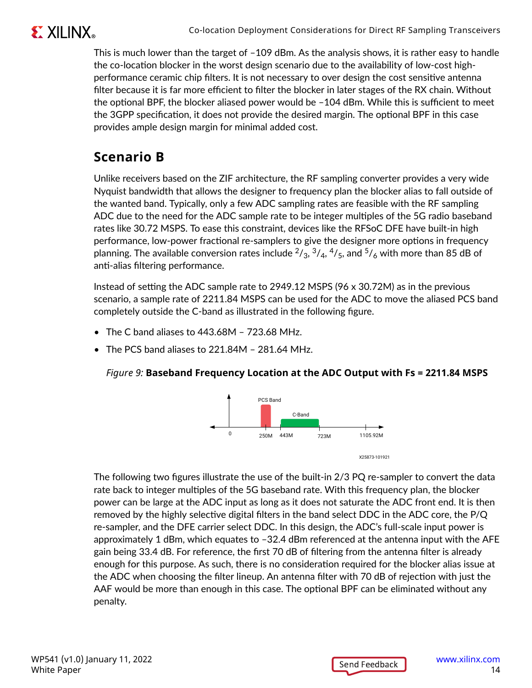

This is much lower than the target of –109 dBm. As the analysis shows, it is rather easy to handle the co-location blocker in the worst design scenario due to the availability of low-cost highperformance ceramic chip filters. It is not necessary to over design the cost sensitive antenna filter because it is far more efficient to filter the blocker in later stages of the RX chain. Without the optional BPF, the blocker aliased power would be –104 dBm. While this is sufficient to meet the 3GPP specification, it does not provide the desired margin. The optional BPF in this case provides ample design margin for minimal added cost.

### **Scenario B**

Unlike receivers based on the ZIF architecture, the RF sampling converter provides a very wide Nyquist bandwidth that allows the designer to frequency plan the blocker alias to fall outside of the wanted band. Typically, only a few ADC sampling rates are feasible with the RF sampling ADC due to the need for the ADC sample rate to be integer multiples of the 5G radio baseband rates like 30.72 MSPS. To ease this constraint, devices like the RFSoC DFE have built-in high performance, low-power fractional re-samplers to give the designer more options in frequency planning. The available conversion rates include  $^{2}/_{3}$ ,  $^{3}/_{4}$ ,  $^{4}/_{5}$ , and  $^{5}/_{6}$  with more than 85 dB of anti-alias filtering performance.

Instead of setting the ADC sample rate to 2949.12 MSPS (96 x 30.72M) as in the previous scenario, a sample rate of 2211.84 MSPS can be used for the ADC to move the aliased PCS band completely outside the C-band as illustrated in the following figure.

- The C band aliases to 443.68M 723.68 MHz.
- The PCS band aliases to 221.84M 281.64 MHz.

#### *Figure 9:* **Baseband Frequency Location at the ADC Output with Fs = 2211.84 MSPS**



The following two figures illustrate the use of the built-in 2/3 PQ re-sampler to convert the data rate back to integer multiples of the 5G baseband rate. With this frequency plan, the blocker power can be large at the ADC input as long as it does not saturate the ADC front end. It is then removed by the highly selective digital filters in the band select DDC in the ADC core, the P/Q re-sampler, and the DFE carrier select DDC. In this design, the ADC's full-scale input power is approximately 1 dBm, which equates to –32.4 dBm referenced at the antenna input with the AFE gain being 33.4 dB. For reference, the first 70 dB of filtering from the antenna filter is already enough for this purpose. As such, there is no consideration required for the blocker alias issue at the ADC when choosing the filter lineup. An antenna filter with 70 dB of rejection with just the AAF would be more than enough in this case. The optional BPF can be eliminated without any penalty.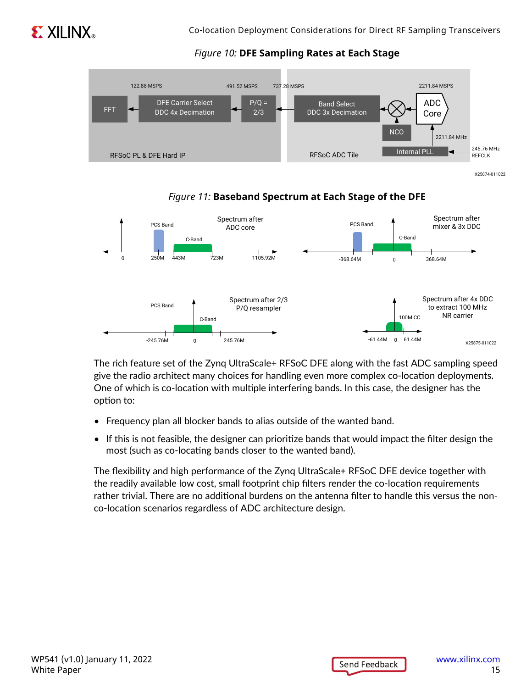

#### *Figure 10:* **DFE Sampling Rates at Each Stage**



X25874-011022



*Figure 11:* **Baseband Spectrum at Each Stage of the DFE**

The rich feature set of the Zynq UltraScale+ RFSoC DFE along with the fast ADC sampling speed give the radio architect many choices for handling even more complex co-location deployments. One of which is co-location with multiple interfering bands. In this case, the designer has the option to:

- Frequency plan all blocker bands to alias outside of the wanted band.
- If this is not feasible, the designer can prioritize bands that would impact the filter design the most (such as co-locating bands closer to the wanted band).

The flexibility and high performance of the Zynq UltraScale+ RFSoC DFE device together with the readily available low cost, small footprint chip filters render the co-location requirements rather trivial. There are no additional burdens on the antenna filter to handle this versus the nonco-location scenarios regardless of ADC architecture design.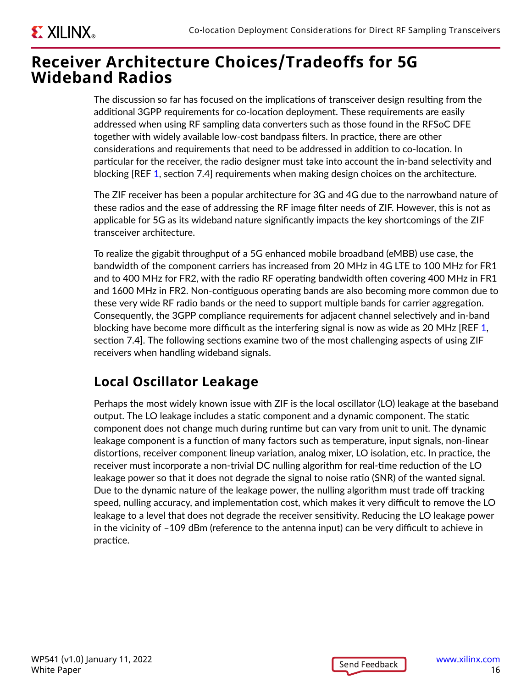# **EXILINX**

## **Receiver Architecture Choices/Tradeoffs for 5G Wideband Radios**

The discussion so far has focused on the implications of transceiver design resulting from the additional 3GPP requirements for co-location deployment. These requirements are easily addressed when using RF sampling data converters such as those found in the RFSoC DFE together with widely available low-cost bandpass filters. In practice, there are other considerations and requirements that need to be addressed in addition to co-location. In particular for the receiver, the radio designer must take into account the in-band selectivity and blocking [REF [1](#page-22-0), section 7.4] requirements when making design choices on the architecture.

The ZIF receiver has been a popular architecture for 3G and 4G due to the narrowband nature of these radios and the ease of addressing the RF image filter needs of ZIF. However, this is not as applicable for 5G as its wideband nature significantly impacts the key shortcomings of the ZIF transceiver architecture.

To realize the gigabit throughput of a 5G enhanced mobile broadband (eMBB) use case, the bandwidth of the component carriers has increased from 20 MHz in 4G LTE to 100 MHz for FR1 and to 400 MHz for FR2, with the radio RF operating bandwidth often covering 400 MHz in FR1 and 1600 MHz in FR2. Non-contiguous operating bands are also becoming more common due to these very wide RF radio bands or the need to support multiple bands for carrier aggregation. Consequently, the 3GPP compliance requirements for adjacent channel selectively and in-band blocking have become more difficult as the interfering signal is now as wide as 20 MHz [REF [1](#page-22-0), section 7.4]. The following sections examine two of the most challenging aspects of using ZIF receivers when handling wideband signals.

### **Local Oscillator Leakage**

Perhaps the most widely known issue with ZIF is the local oscillator (LO) leakage at the baseband output. The LO leakage includes a static component and a dynamic component. The static component does not change much during runtime but can vary from unit to unit. The dynamic leakage component is a function of many factors such as temperature, input signals, non-linear distortions, receiver component lineup variation, analog mixer, LO isolation, etc. In practice, the receiver must incorporate a non-trivial DC nulling algorithm for real-time reduction of the LO leakage power so that it does not degrade the signal to noise ratio (SNR) of the wanted signal. Due to the dynamic nature of the leakage power, the nulling algorithm must trade off tracking speed, nulling accuracy, and implementation cost, which makes it very difficult to remove the LO leakage to a level that does not degrade the receiver sensitivity. Reducing the LO leakage power in the vicinity of –109 dBm (reference to the antenna input) can be very difficult to achieve in practice.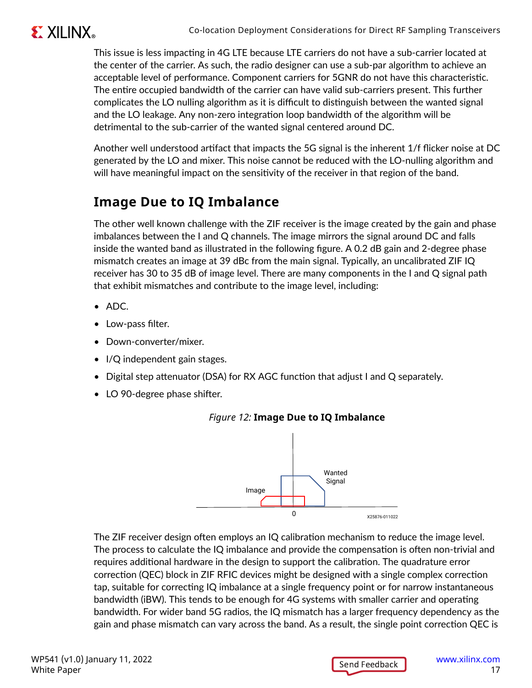# **EXILINX**

This issue is less impacting in 4G LTE because LTE carriers do not have a sub-carrier located at the center of the carrier. As such, the radio designer can use a sub-par algorithm to achieve an acceptable level of performance. Component carriers for 5GNR do not have this characteristic. The entire occupied bandwidth of the carrier can have valid sub-carriers present. This further complicates the LO nulling algorithm as it is difficult to distinguish between the wanted signal and the LO leakage. Any non-zero integration loop bandwidth of the algorithm will be detrimental to the sub-carrier of the wanted signal centered around DC.

Another well understood artifact that impacts the 5G signal is the inherent 1/f flicker noise at DC generated by the LO and mixer. This noise cannot be reduced with the LO-nulling algorithm and will have meaningful impact on the sensitivity of the receiver in that region of the band.

### **Image Due to IQ Imbalance**

The other well known challenge with the ZIF receiver is the image created by the gain and phase imbalances between the I and Q channels. The image mirrors the signal around DC and falls inside the wanted band as illustrated in the following figure. A 0.2 dB gain and 2-degree phase mismatch creates an image at 39 dBc from the main signal. Typically, an uncalibrated ZIF IQ receiver has 30 to 35 dB of image level. There are many components in the I and Q signal path that exhibit mismatches and contribute to the image level, including:

- ADC.
- Low-pass filter.
- Down-converter/mixer.
- I/Q independent gain stages.
- Digital step attenuator (DSA) for RX AGC function that adjust I and Q separately.
- LO 90-degree phase shifter.



### *Figure 12:* **Image Due to IQ Imbalance**

The ZIF receiver design often employs an IQ calibration mechanism to reduce the image level. The process to calculate the IQ imbalance and provide the compensation is often non-trivial and requires additional hardware in the design to support the calibration. The quadrature error correction (QEC) block in ZIF RFIC devices might be designed with a single complex correction tap, suitable for correcting IQ imbalance at a single frequency point or for narrow instantaneous bandwidth (iBW). This tends to be enough for 4G systems with smaller carrier and operating bandwidth. For wider band 5G radios, the IQ mismatch has a larger frequency dependency as the gain and phase mismatch can vary across the band. As a result, the single point correction QEC is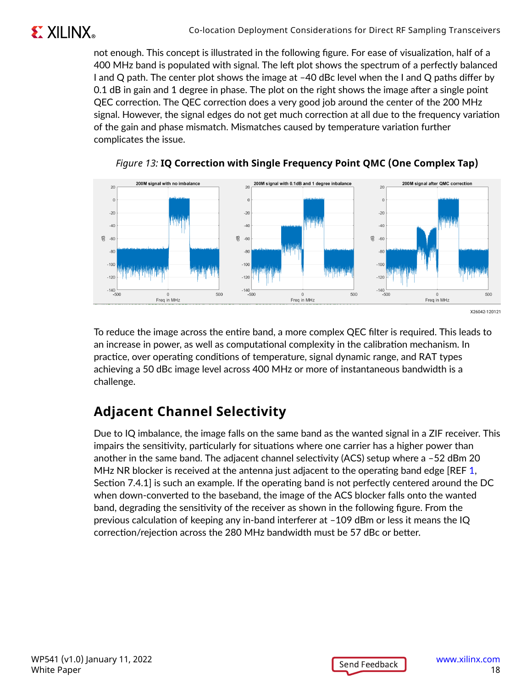

not enough. This concept is illustrated in the following figure. For ease of visualization, half of a 400 MHz band is populated with signal. The left plot shows the spectrum of a perfectly balanced I and Q path. The center plot shows the image at –40 dBc level when the I and Q paths differ by 0.1 dB in gain and 1 degree in phase. The plot on the right shows the image after a single point QEC correction. The QEC correction does a very good job around the center of the 200 MHz signal. However, the signal edges do not get much correction at all due to the frequency variation of the gain and phase mismatch. Mismatches caused by temperature variation further complicates the issue.





To reduce the image across the entire band, a more complex QEC filter is required. This leads to an increase in power, as well as computational complexity in the calibration mechanism. In practice, over operating conditions of temperature, signal dynamic range, and RAT types achieving a 50 dBc image level across 400 MHz or more of instantaneous bandwidth is a challenge.

## **Adjacent Channel Selectivity**

Due to IQ imbalance, the image falls on the same band as the wanted signal in a ZIF receiver. This impairs the sensitivity, particularly for situations where one carrier has a higher power than another in the same band. The adjacent channel selectivity (ACS) setup where a –52 dBm 20 MHz NR blocker is received at the antenna just adjacent to the operating band edge [REF [1,](#page-22-0) Section 7.4.1] is such an example. If the operating band is not perfectly centered around the DC when down-converted to the baseband, the image of the ACS blocker falls onto the wanted band, degrading the sensitivity of the receiver as shown in the following figure. From the previous calculation of keeping any in-band interferer at –109 dBm or less it means the IQ correction/rejection across the 280 MHz bandwidth must be 57 dBc or better.

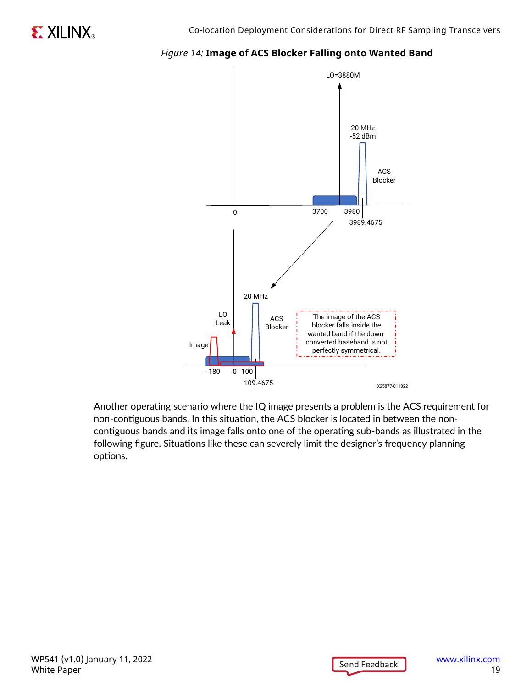

#### *Figure 14:* **Image of ACS Blocker Falling onto Wanted Band**

Another operating scenario where the IQ image presents a problem is the ACS requirement for non-contiguous bands. In this situation, the ACS blocker is located in between the noncontiguous bands and its image falls onto one of the operating sub-bands as illustrated in the following figure. Situations like these can severely limit the designer's frequency planning options.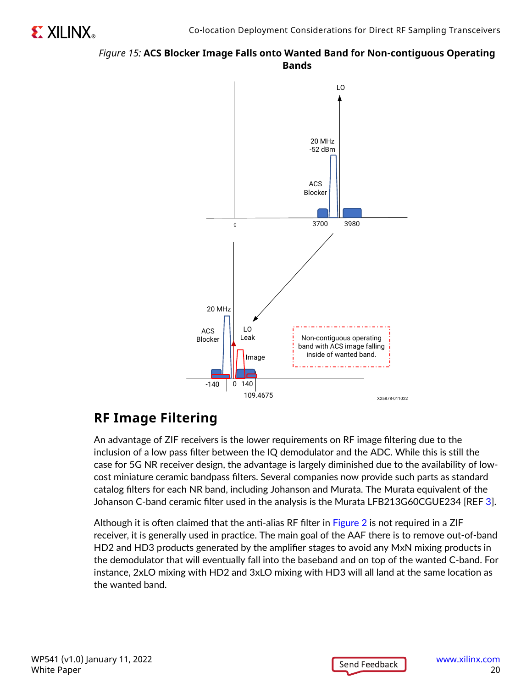#### *Figure 15:* **ACS Blocker Image Falls onto Wanted Band for Non-contiguous Operating Bands**



### **RF Image Filtering**

An advantage of ZIF receivers is the lower requirements on RF image filtering due to the inclusion of a low pass filter between the IQ demodulator and the ADC. While this is still the case for 5G NR receiver design, the advantage is largely diminished due to the availability of lowcost miniature ceramic bandpass filters. Several companies now provide such parts as standard catalog filters for each NR band, including Johanson and Murata. The Murata equivalent of the Johanson C-band ceramic filter used in the analysis is the Murata LFB213G60CGUE234 [REF [3\]](#page-22-0).

Although it is often claimed that the anti-alias RF filter in [Figure 2](#page-4-0) is not required in a ZIF receiver, it is generally used in practice. The main goal of the AAF there is to remove out-of-band HD2 and HD3 products generated by the amplifier stages to avoid any MxN mixing products in the demodulator that will eventually fall into the baseband and on top of the wanted C-band. For instance, 2xLO mixing with HD2 and 3xLO mixing with HD3 will all land at the same location as the wanted band.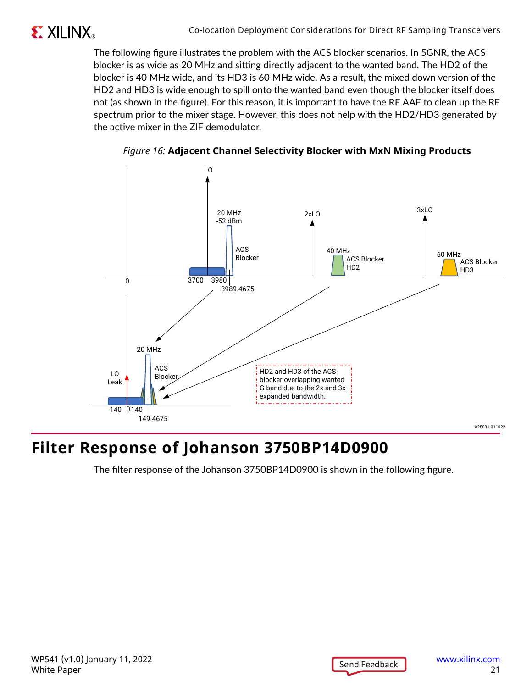

The following figure illustrates the problem with the ACS blocker scenarios. In 5GNR, the ACS blocker is as wide as 20 MHz and sitting directly adjacent to the wanted band. The HD2 of the blocker is 40 MHz wide, and its HD3 is 60 MHz wide. As a result, the mixed down version of the HD2 and HD3 is wide enough to spill onto the wanted band even though the blocker itself does not (as shown in the figure). For this reason, it is important to have the RF AAF to clean up the RF spectrum prior to the mixer stage. However, this does not help with the HD2/HD3 generated by the active mixer in the ZIF demodulator.





# **Filter Response of Johanson 3750BP14D0900**

The filter response of the Johanson 3750BP14D0900 is shown in the following figure.

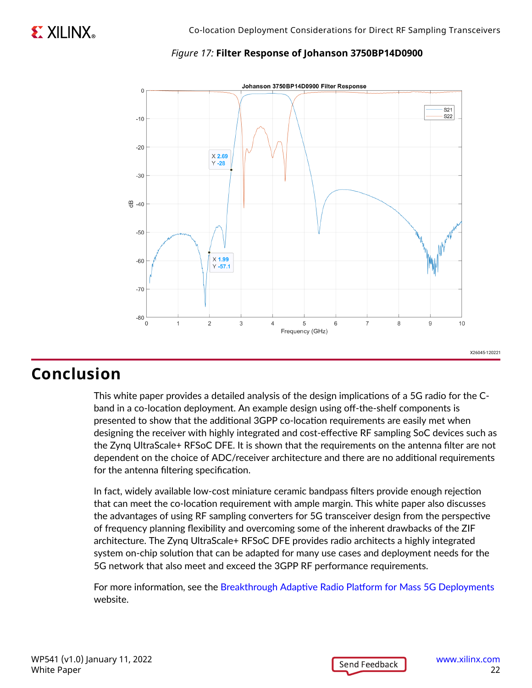#### *Figure 17:* **Filter Response of Johanson 3750BP14D0900**



### **Conclusion**

This white paper provides a detailed analysis of the design implications of a 5G radio for the Cband in a co-location deployment. An example design using off-the-shelf components is presented to show that the additional 3GPP co-location requirements are easily met when designing the receiver with highly integrated and cost-effective RF sampling SoC devices such as the Zynq UltraScale+ RFSoC DFE. It is shown that the requirements on the antenna filter are not dependent on the choice of ADC/receiver architecture and there are no additional requirements for the antenna filtering specification.

In fact, widely available low-cost miniature ceramic bandpass filters provide enough rejection that can meet the co-location requirement with ample margin. This white paper also discusses the advantages of using RF sampling converters for 5G transceiver design from the perspective of frequency planning flexibility and overcoming some of the inherent drawbacks of the ZIF architecture. The Zynq UltraScale+ RFSoC DFE provides radio architects a highly integrated system on-chip solution that can be adapted for many use cases and deployment needs for the 5G network that also meet and exceed the 3GPP RF performance requirements.

For more information, see the [Breakthrough Adaptive Radio Platform for Mass 5G Deployments](https://www.xilinx.com/products/silicon-devices/soc/rfsoc/zynq-ultrascale-plus-rfsoc-dfe.html) website.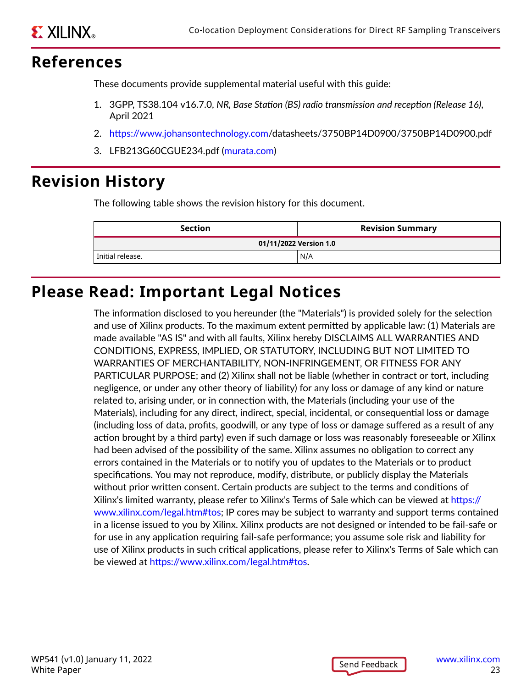### <span id="page-22-0"></span>**References**

These documents provide supplemental material useful with this guide:

- 1. 3GPP, TS38.104 v16.7.0, *NR, Base Station (BS) radio transmission and reception (Release 16)*, April 2021
- 2. <https://www.johansontechnology.com>/datasheets/3750BP14D0900/3750BP14D0900.pdf
- 3. LFB213G60CGUE234.pdf [\(murata.com](http://murata.com))

## **Revision History**

The following table shows the revision history for this document.

| <b>Section</b>         | <b>Revision Summary</b> |  |
|------------------------|-------------------------|--|
| 01/11/2022 Version 1.0 |                         |  |
| l Initial release.     | N/A                     |  |

## **Please Read: Important Legal Notices**

The information disclosed to you hereunder (the "Materials") is provided solely for the selection and use of Xilinx products. To the maximum extent permitted by applicable law: (1) Materials are made available "AS IS" and with all faults, Xilinx hereby DISCLAIMS ALL WARRANTIES AND CONDITIONS, EXPRESS, IMPLIED, OR STATUTORY, INCLUDING BUT NOT LIMITED TO WARRANTIES OF MERCHANTABILITY, NON-INFRINGEMENT, OR FITNESS FOR ANY PARTICULAR PURPOSE; and (2) Xilinx shall not be liable (whether in contract or tort, including negligence, or under any other theory of liability) for any loss or damage of any kind or nature related to, arising under, or in connection with, the Materials (including your use of the Materials), including for any direct, indirect, special, incidental, or consequential loss or damage (including loss of data, profits, goodwill, or any type of loss or damage suffered as a result of any action brought by a third party) even if such damage or loss was reasonably foreseeable or Xilinx had been advised of the possibility of the same. Xilinx assumes no obligation to correct any errors contained in the Materials or to notify you of updates to the Materials or to product specifications. You may not reproduce, modify, distribute, or publicly display the Materials without prior written consent. Certain products are subject to the terms and conditions of Xilinx's limited warranty, please refer to Xilinx's Terms of Sale which can be viewed at [https://](https://www.xilinx.com/legal.htm#tos) [www.xilinx.com/legal.htm#tos](https://www.xilinx.com/legal.htm#tos); IP cores may be subject to warranty and support terms contained in a license issued to you by Xilinx. Xilinx products are not designed or intended to be fail-safe or for use in any application requiring fail-safe performance; you assume sole risk and liability for use of Xilinx products in such critical applications, please refer to Xilinx's Terms of Sale which can be viewed at [https://www.xilinx.com/legal.htm#tos.](https://www.xilinx.com/legal.htm#tos)